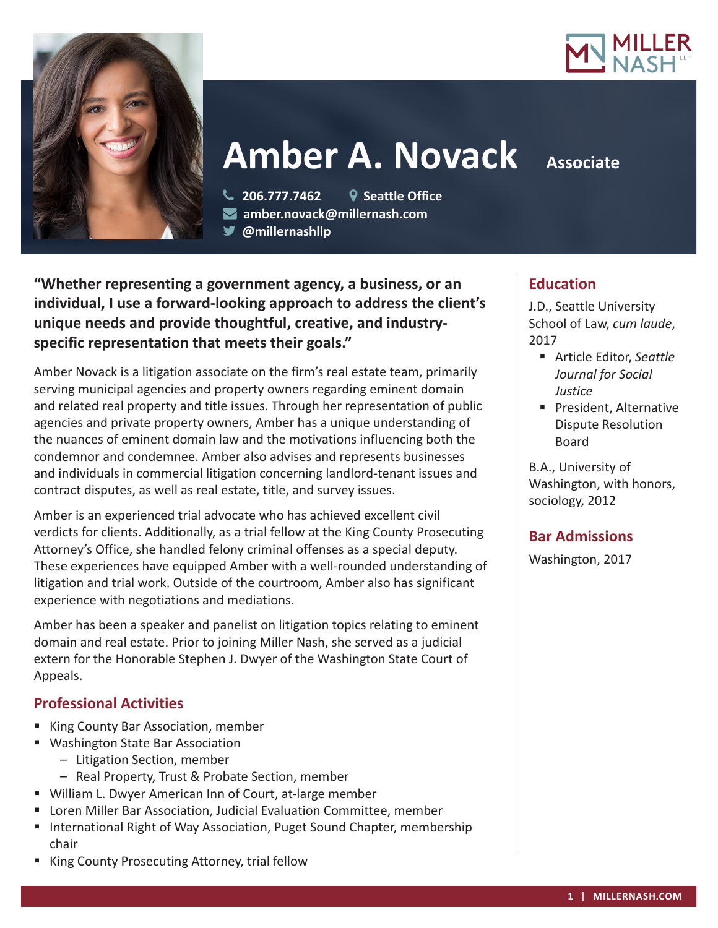



**Amber A. Novack** Associate

 **206.777.7462 Seattle Office amber.novack@millernash.com** 

**@millernashllp** 

**"Whether representing a government agency, a business, or an individual, I use a forward-looking approach to address the client's unique needs and provide thoughtful, creative, and industryspecific representation that meets their goals."**

Amber Novack is a litigation associate on the firm's real estate team, primarily serving municipal agencies and property owners regarding eminent domain and related real property and title issues. Through her representation of public agencies and private property owners, Amber has a unique understanding of the nuances of eminent domain law and the motivations influencing both the condemnor and condemnee. Amber also advises and represents businesses and individuals in commercial litigation concerning landlord-tenant issues and contract disputes, as well as real estate, title, and survey issues.

Amber is an experienced trial advocate who has achieved excellent civil verdicts for clients. Additionally, as a trial fellow at the King County Prosecuting Attorney's Office, she handled felony criminal offenses as a special deputy. These experiences have equipped Amber with a well-rounded understanding of litigation and trial work. Outside of the courtroom, Amber also has significant experience with negotiations and mediations.

Amber has been a speaker and panelist on litigation topics relating to eminent domain and real estate. Prior to joining Miller Nash, she served as a judicial extern for the Honorable Stephen J. Dwyer of the Washington State Court of Appeals.

# **Professional Activities**

- King County Bar Association, member
- Washington State Bar Association
	- Litigation Section, member
	- Real Property, Trust & Probate Section, member
- William L. Dwyer American Inn of Court, at-large member
- Loren Miller Bar Association, Judicial Evaluation Committee, member
- International Right of Way Association, Puget Sound Chapter, membership chair
- **King County Prosecuting Attorney, trial fellow**

# **Education**

J.D., Seattle University School of Law, *cum laude*, 2017

- Article Editor, *Seattle Journal for Social Justice*
- **President, Alternative** Dispute Resolution Board

B.A., University of Washington, with honors, sociology, 2012

# **Bar Admissions**

Washington, 2017